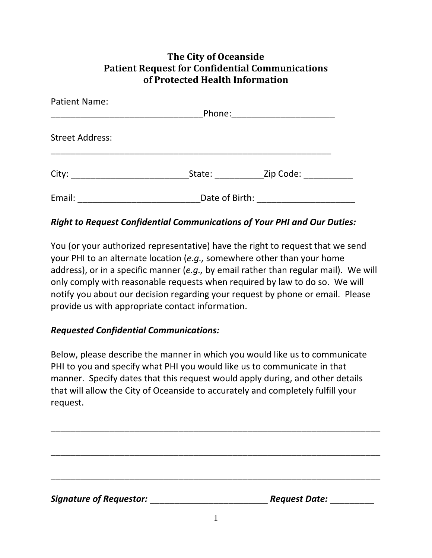## **The City of Oceanside Patient Request for Confidential Communications of Protected Health Information**

| <b>Patient Name:</b>                                                                                                          |                |                                                                                                                |  |  |  |
|-------------------------------------------------------------------------------------------------------------------------------|----------------|----------------------------------------------------------------------------------------------------------------|--|--|--|
|                                                                                                                               | Phone:         |                                                                                                                |  |  |  |
| <b>Street Address:</b>                                                                                                        |                |                                                                                                                |  |  |  |
| City:<br><u> 1989 - Johann Barn, mars eta bainar eta industrial eta erromana eta erromana eta erromana eta erromana eta e</u> | State:         | Zip Code: The Said Science of the Science of the Science of the Science of the Science of the Science of the S |  |  |  |
| Email:                                                                                                                        | Date of Birth: |                                                                                                                |  |  |  |

## *Right to Request Confidential Communications of Your PHI and Our Duties:*

You (or your authorized representative) have the right to request that we send your PHI to an alternate location (*e.g.,* somewhere other than your home address), or in a specific manner (*e.g.,* by email rather than regular mail). We will only comply with reasonable requests when required by law to do so. We will notify you about our decision regarding your request by phone or email. Please provide us with appropriate contact information.

## *Requested Confidential Communications:*

Below, please describe the manner in which you would like us to communicate PHI to you and specify what PHI you would like us to communicate in that manner. Specify dates that this request would apply during, and other details that will allow the City of Oceanside to accurately and completely fulfill your request.

\_\_\_\_\_\_\_\_\_\_\_\_\_\_\_\_\_\_\_\_\_\_\_\_\_\_\_\_\_\_\_\_\_\_\_\_\_\_\_\_\_\_\_\_\_\_\_\_\_\_\_\_\_\_\_\_\_\_\_\_\_\_\_\_\_\_\_